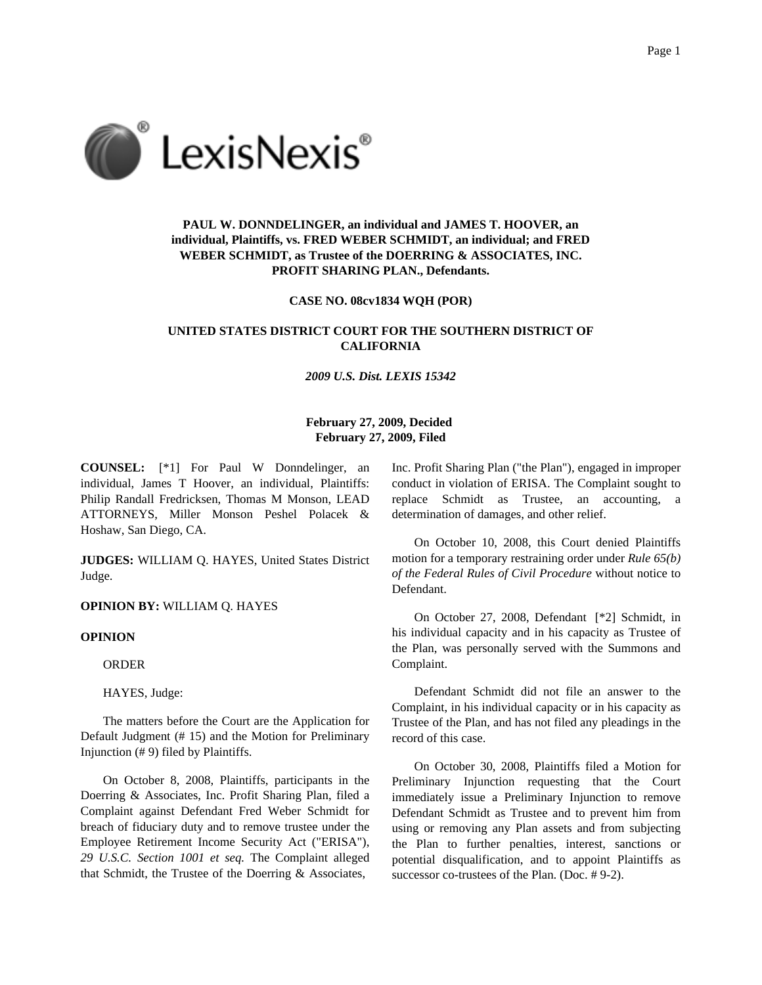

# **PAUL W. DONNDELINGER, an individual and JAMES T. HOOVER, an individual, Plaintiffs, vs. FRED WEBER SCHMIDT, an individual; and FRED WEBER SCHMIDT, as Trustee of the DOERRING & ASSOCIATES, INC. PROFIT SHARING PLAN., Defendants.**

## **CASE NO. 08cv1834 WQH (POR)**

# **UNITED STATES DISTRICT COURT FOR THE SOUTHERN DISTRICT OF CALIFORNIA**

### *2009 U.S. Dist. LEXIS 15342*

# **February 27, 2009, Decided February 27, 2009, Filed**

**COUNSEL:** [\*1] For Paul W Donndelinger, an individual, James T Hoover, an individual, Plaintiffs: Philip Randall Fredricksen, Thomas M Monson, LEAD ATTORNEYS, Miller Monson Peshel Polacek & Hoshaw, San Diego, CA.

**JUDGES:** WILLIAM Q. HAYES, United States District Judge.

#### **OPINION BY:** WILLIAM Q. HAYES

#### **OPINION**

ORDER

HAYES, Judge:

The matters before the Court are the Application for Default Judgment (# 15) and the Motion for Preliminary Injunction (# 9) filed by Plaintiffs.

On October 8, 2008, Plaintiffs, participants in the Doerring & Associates, Inc. Profit Sharing Plan, filed a Complaint against Defendant Fred Weber Schmidt for breach of fiduciary duty and to remove trustee under the Employee Retirement Income Security Act ("ERISA"), *29 U.S.C. Section 1001 et seq.* The Complaint alleged that Schmidt, the Trustee of the Doerring & Associates,

Inc. Profit Sharing Plan ("the Plan"), engaged in improper conduct in violation of ERISA. The Complaint sought to replace Schmidt as Trustee, an accounting, determination of damages, and other relief.

On October 10, 2008, this Court denied Plaintiffs motion for a temporary restraining order under *Rule 65(b) of the Federal Rules of Civil Procedure* without notice to Defendant.

On October 27, 2008, Defendant [\*2] Schmidt, in his individual capacity and in his capacity as Trustee of the Plan, was personally served with the Summons and Complaint.

Defendant Schmidt did not file an answer to the Complaint, in his individual capacity or in his capacity as Trustee of the Plan, and has not filed any pleadings in the record of this case.

On October 30, 2008, Plaintiffs filed a Motion for Preliminary Injunction requesting that the Court immediately issue a Preliminary Injunction to remove Defendant Schmidt as Trustee and to prevent him from using or removing any Plan assets and from subjecting the Plan to further penalties, interest, sanctions or potential disqualification, and to appoint Plaintiffs as successor co-trustees of the Plan. (Doc. # 9-2).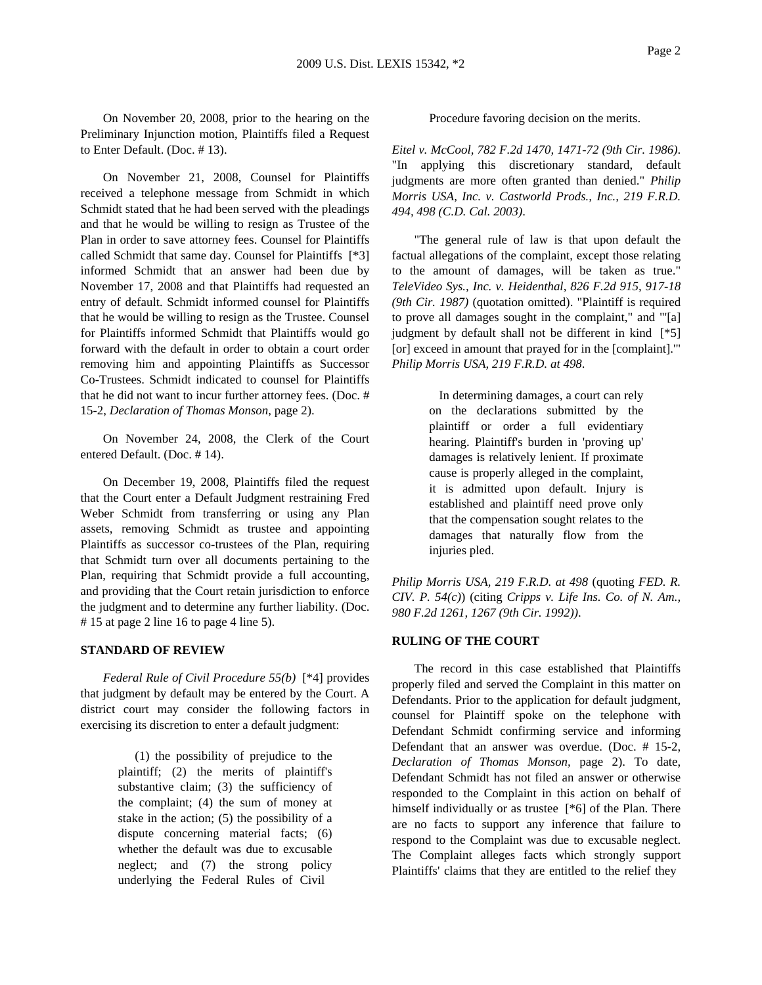On November 20, 2008, prior to the hearing on the Preliminary Injunction motion, Plaintiffs filed a Request to Enter Default. (Doc. # 13).

On November 21, 2008, Counsel for Plaintiffs received a telephone message from Schmidt in which Schmidt stated that he had been served with the pleadings and that he would be willing to resign as Trustee of the Plan in order to save attorney fees. Counsel for Plaintiffs called Schmidt that same day. Counsel for Plaintiffs [\*3] informed Schmidt that an answer had been due by November 17, 2008 and that Plaintiffs had requested an entry of default. Schmidt informed counsel for Plaintiffs that he would be willing to resign as the Trustee. Counsel for Plaintiffs informed Schmidt that Plaintiffs would go forward with the default in order to obtain a court order removing him and appointing Plaintiffs as Successor Co-Trustees. Schmidt indicated to counsel for Plaintiffs that he did not want to incur further attorney fees. (Doc. # 15-2, *Declaration of Thomas Monson,* page 2).

On November 24, 2008, the Clerk of the Court entered Default. (Doc. # 14).

On December 19, 2008, Plaintiffs filed the request that the Court enter a Default Judgment restraining Fred Weber Schmidt from transferring or using any Plan assets, removing Schmidt as trustee and appointing Plaintiffs as successor co-trustees of the Plan, requiring that Schmidt turn over all documents pertaining to the Plan, requiring that Schmidt provide a full accounting, and providing that the Court retain jurisdiction to enforce the judgment and to determine any further liability. (Doc. # 15 at page 2 line 16 to page 4 line 5).

### **STANDARD OF REVIEW**

*Federal Rule of Civil Procedure 55(b)* [\*4] provides that judgment by default may be entered by the Court. A district court may consider the following factors in exercising its discretion to enter a default judgment:

> (1) the possibility of prejudice to the plaintiff; (2) the merits of plaintiff's substantive claim; (3) the sufficiency of the complaint; (4) the sum of money at stake in the action; (5) the possibility of a dispute concerning material facts; (6) whether the default was due to excusable neglect; and (7) the strong policy underlying the Federal Rules of Civil

Procedure favoring decision on the merits.

*Eitel v. McCool, 782 F.2d 1470, 1471-72 (9th Cir. 1986)*. "In applying this discretionary standard, default judgments are more often granted than denied." *Philip Morris USA, Inc. v. Castworld Prods., Inc., 219 F.R.D. 494, 498 (C.D. Cal. 2003)*.

"The general rule of law is that upon default the factual allegations of the complaint, except those relating to the amount of damages, will be taken as true." *TeleVideo Sys., Inc. v. Heidenthal, 826 F.2d 915, 917-18 (9th Cir. 1987)* (quotation omitted). "Plaintiff is required to prove all damages sought in the complaint," and "'[a] judgment by default shall not be different in kind [\*5] [or] exceed in amount that prayed for in the [complaint].'" *Philip Morris USA, 219 F.R.D. at 498*.

> In determining damages, a court can rely on the declarations submitted by the plaintiff or order a full evidentiary hearing. Plaintiff's burden in 'proving up' damages is relatively lenient. If proximate cause is properly alleged in the complaint, it is admitted upon default. Injury is established and plaintiff need prove only that the compensation sought relates to the damages that naturally flow from the injuries pled.

*Philip Morris USA, 219 F.R.D. at 498* (quoting *FED. R. CIV. P. 54(c)*) (citing *Cripps v. Life Ins. Co. of N. Am., 980 F.2d 1261, 1267 (9th Cir. 1992))*.

## **RULING OF THE COURT**

The record in this case established that Plaintiffs properly filed and served the Complaint in this matter on Defendants. Prior to the application for default judgment, counsel for Plaintiff spoke on the telephone with Defendant Schmidt confirming service and informing Defendant that an answer was overdue. (Doc. # 15-2, *Declaration of Thomas Monson,* page 2). To date, Defendant Schmidt has not filed an answer or otherwise responded to the Complaint in this action on behalf of himself individually or as trustee [\*6] of the Plan. There are no facts to support any inference that failure to respond to the Complaint was due to excusable neglect. The Complaint alleges facts which strongly support Plaintiffs' claims that they are entitled to the relief they